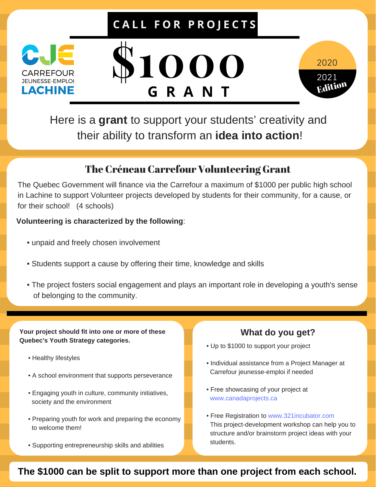## **C A L L F O R P R O J E C T S**



# **\$1000 G R A N T**



Here is a **grant** to support your students' creativity and their ability to transform an **idea into action**!

### The Créneau Carrefour Volunteering Grant

The Quebec Government will finance via the Carrefour a maximum of \$1000 per public high school in Lachine to support Volunteer projects developed by students for their community, for a cause, or for their school! (4 schools)

#### **Volunteering is characterized by the following**:

- unpaid and freely chosen involvement
- Students support a cause by offering their time, knowledge and skills
- The project fosters social engagement and plays an important role in developing a youth's sense of belonging to the community.

**Your project should fit into one or more of these Quebec's Youth Strategy categories.**

- Healthy lifestyles
- A school environment that supports perseverance
- Engaging youth in culture, community initiatives, society and the environment
- Preparing youth for work and preparing the economy to welcome them!
- Supporting entrepreneurship skills and abilities

#### **What do you get?**

- Up to \$1000 to support your project
- Individual assistance from a Project Manager at Carrefour jeunesse-emploi if needed
- Free showcasing of your project at www.canadaprojects.ca
- Free Registration to www.321incubator.com This project-development workshop can help you to structure and/or brainstorm project ideas with your students.

**The \$1000 can be split to support more than one project from each school.**